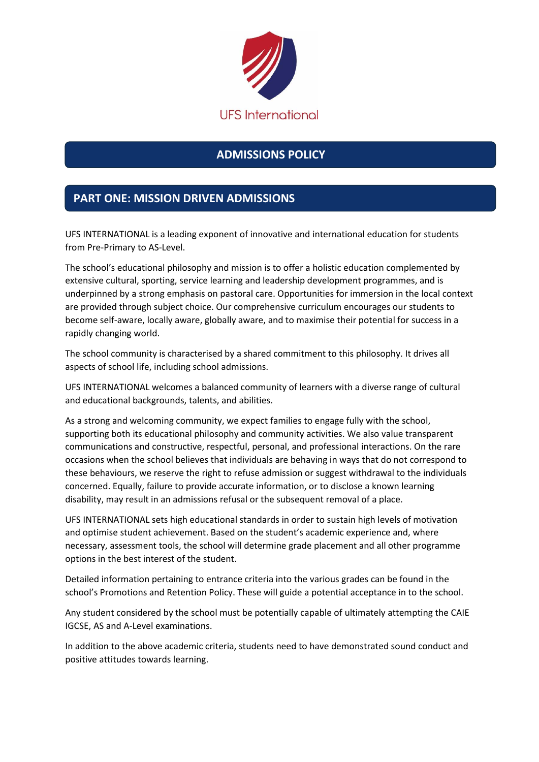

# **ADMISSIONS POLICY**

## **PART ONE: MISSION DRIVEN ADMISSIONS**

UFS INTERNATIONAL is a leading exponent of innovative and international education for students from Pre-Primary to AS-Level.

The school's educational philosophy and mission is to offer a holistic education complemented by extensive cultural, sporting, service learning and leadership development programmes, and is underpinned by a strong emphasis on pastoral care. Opportunities for immersion in the local context are provided through subject choice. Our comprehensive curriculum encourages our students to become self-aware, locally aware, globally aware, and to maximise their potential for success in a rapidly changing world.

The school community is characterised by a shared commitment to this philosophy. It drives all aspects of school life, including school admissions.

UFS INTERNATIONAL welcomes a balanced community of learners with a diverse range of cultural and educational backgrounds, talents, and abilities.

As a strong and welcoming community, we expect families to engage fully with the school, supporting both its educational philosophy and community activities. We also value transparent communications and constructive, respectful, personal, and professional interactions. On the rare occasions when the school believes that individuals are behaving in ways that do not correspond to these behaviours, we reserve the right to refuse admission or suggest withdrawal to the individuals concerned. Equally, failure to provide accurate information, or to disclose a known learning disability, may result in an admissions refusal or the subsequent removal of a place.

UFS INTERNATIONAL sets high educational standards in order to sustain high levels of motivation and optimise student achievement. Based on the student's academic experience and, where necessary, assessment tools, the school will determine grade placement and all other programme options in the best interest of the student.

Detailed information pertaining to entrance criteria into the various grades can be found in the school's Promotions and Retention Policy. These will guide a potential acceptance in to the school.

Any student considered by the school must be potentially capable of ultimately attempting the CAIE IGCSE, AS and A-Level examinations.

In addition to the above academic criteria, students need to have demonstrated sound conduct and positive attitudes towards learning.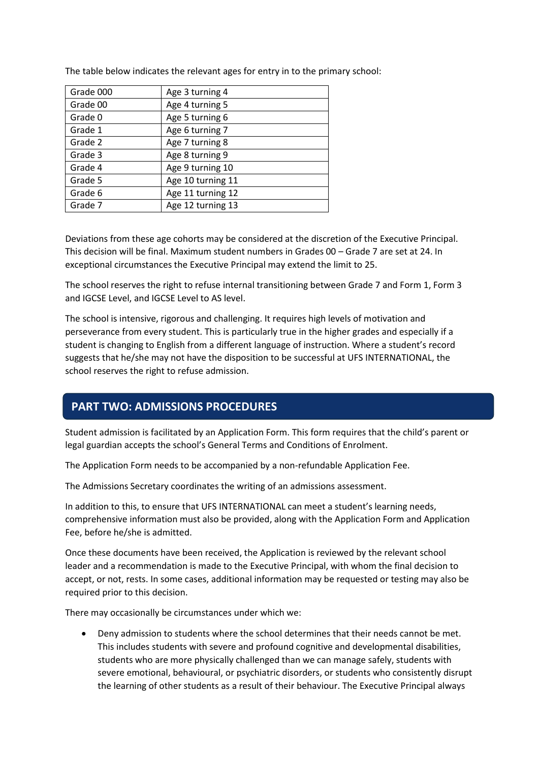| Grade 000 | Age 3 turning 4   |
|-----------|-------------------|
| Grade 00  | Age 4 turning 5   |
| Grade 0   | Age 5 turning 6   |
| Grade 1   | Age 6 turning 7   |
| Grade 2   | Age 7 turning 8   |
| Grade 3   | Age 8 turning 9   |
| Grade 4   | Age 9 turning 10  |
| Grade 5   | Age 10 turning 11 |
| Grade 6   | Age 11 turning 12 |
| Grade 7   | Age 12 turning 13 |

The table below indicates the relevant ages for entry in to the primary school:

Deviations from these age cohorts may be considered at the discretion of the Executive Principal. This decision will be final. Maximum student numbers in Grades 00 – Grade 7 are set at 24. In exceptional circumstances the Executive Principal may extend the limit to 25.

The school reserves the right to refuse internal transitioning between Grade 7 and Form 1, Form 3 and IGCSE Level, and IGCSE Level to AS level.

The school is intensive, rigorous and challenging. It requires high levels of motivation and perseverance from every student. This is particularly true in the higher grades and especially if a student is changing to English from a different language of instruction. Where a student's record suggests that he/she may not have the disposition to be successful at UFS INTERNATIONAL, the school reserves the right to refuse admission.

#### **PART TWO: ADMISSIONS PROCEDURES**

Student admission is facilitated by an Application Form. This form requires that the child's parent or legal guardian accepts the school's General Terms and Conditions of Enrolment.

The Application Form needs to be accompanied by a non-refundable Application Fee.

The Admissions Secretary coordinates the writing of an admissions assessment.

In addition to this, to ensure that UFS INTERNATIONAL can meet a student's learning needs, comprehensive information must also be provided, along with the Application Form and Application Fee, before he/she is admitted.

Once these documents have been received, the Application is reviewed by the relevant school leader and a recommendation is made to the Executive Principal, with whom the final decision to accept, or not, rests. In some cases, additional information may be requested or testing may also be required prior to this decision.

There may occasionally be circumstances under which we:

 Deny admission to students where the school determines that their needs cannot be met. This includes students with severe and profound cognitive and developmental disabilities, students who are more physically challenged than we can manage safely, students with severe emotional, behavioural, or psychiatric disorders, or students who consistently disrupt the learning of other students as a result of their behaviour. The Executive Principal always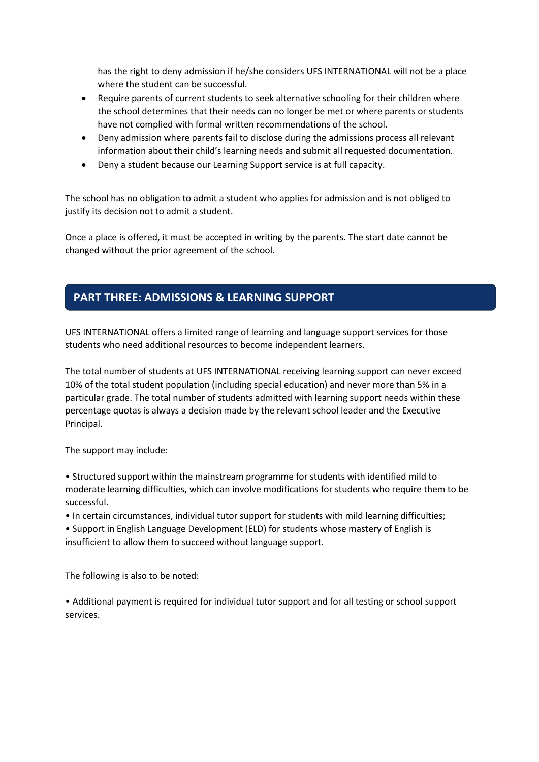has the right to deny admission if he/she considers UFS INTERNATIONAL will not be a place where the student can be successful.

- Require parents of current students to seek alternative schooling for their children where the school determines that their needs can no longer be met or where parents or students have not complied with formal written recommendations of the school.
- Deny admission where parents fail to disclose during the admissions process all relevant information about their child's learning needs and submit all requested documentation.
- Deny a student because our Learning Support service is at full capacity.

The school has no obligation to admit a student who applies for admission and is not obliged to justify its decision not to admit a student.

Once a place is offered, it must be accepted in writing by the parents. The start date cannot be changed without the prior agreement of the school.

### **PART THREE: ADMISSIONS & LEARNING SUPPORT**

UFS INTERNATIONAL offers a limited range of learning and language support services for those students who need additional resources to become independent learners.

The total number of students at UFS INTERNATIONAL receiving learning support can never exceed 10% of the total student population (including special education) and never more than 5% in a particular grade. The total number of students admitted with learning support needs within these percentage quotas is always a decision made by the relevant school leader and the Executive Principal.

The support may include:

• Structured support within the mainstream programme for students with identified mild to moderate learning difficulties, which can involve modifications for students who require them to be successful.

• In certain circumstances, individual tutor support for students with mild learning difficulties;

• Support in English Language Development (ELD) for students whose mastery of English is insufficient to allow them to succeed without language support.

The following is also to be noted:

• Additional payment is required for individual tutor support and for all testing or school support services.